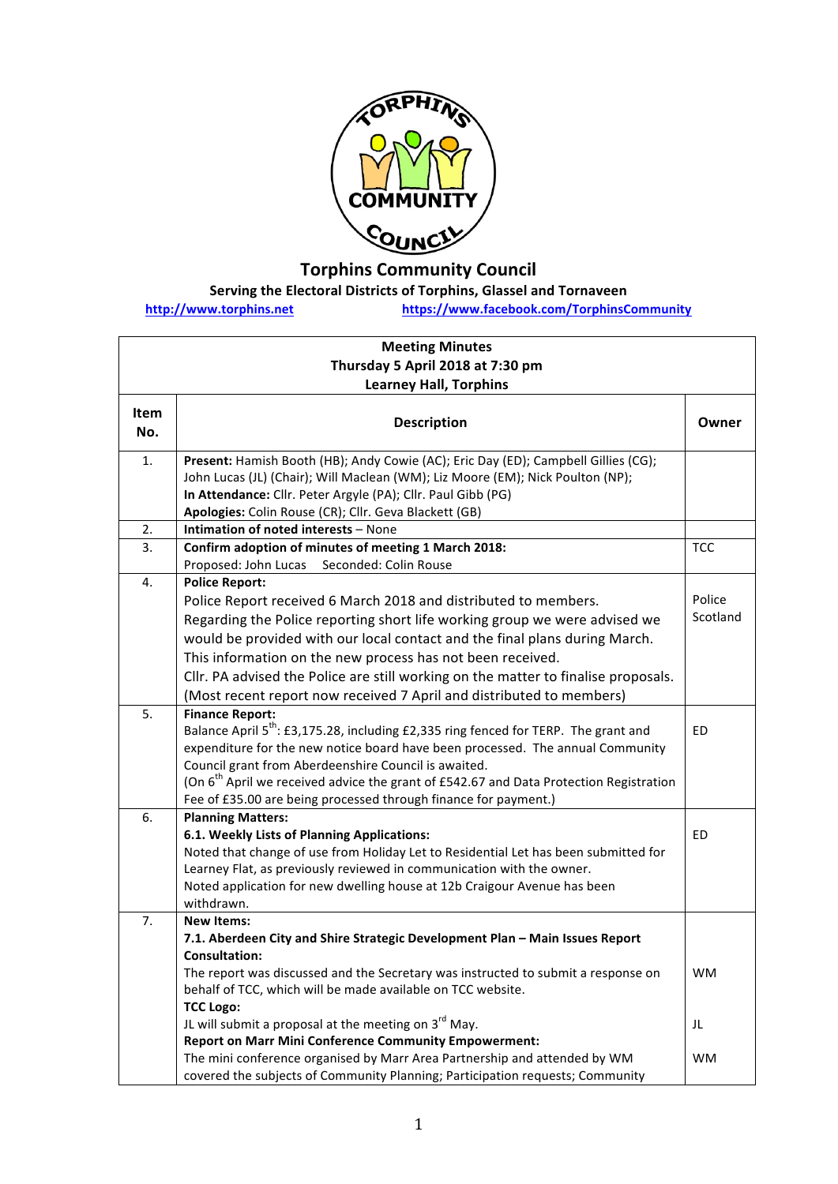

## **Torphins Community Council**

## **Serving the Electoral Districts of Torphins, Glassel and Tornaveen**

**http://www.torphins.net https://www.facebook.com/TorphinsCommunity**

| <b>Meeting Minutes</b><br>Thursday 5 April 2018 at 7:30 pm |                                                                                                                                                                                                                                                                                                                                                                                                                                                                                  |                    |  |  |
|------------------------------------------------------------|----------------------------------------------------------------------------------------------------------------------------------------------------------------------------------------------------------------------------------------------------------------------------------------------------------------------------------------------------------------------------------------------------------------------------------------------------------------------------------|--------------------|--|--|
|                                                            | <b>Learney Hall, Torphins</b>                                                                                                                                                                                                                                                                                                                                                                                                                                                    |                    |  |  |
| Item<br>No.                                                | <b>Description</b>                                                                                                                                                                                                                                                                                                                                                                                                                                                               | Owner              |  |  |
| 1.                                                         | Present: Hamish Booth (HB); Andy Cowie (AC); Eric Day (ED); Campbell Gillies (CG);<br>John Lucas (JL) (Chair); Will Maclean (WM); Liz Moore (EM); Nick Poulton (NP);<br>In Attendance: Cllr. Peter Argyle (PA); Cllr. Paul Gibb (PG)<br>Apologies: Colin Rouse (CR); Cllr. Geva Blackett (GB)                                                                                                                                                                                    |                    |  |  |
| 2.                                                         | Intimation of noted interests - None                                                                                                                                                                                                                                                                                                                                                                                                                                             |                    |  |  |
| 3.                                                         | Confirm adoption of minutes of meeting 1 March 2018:<br>Proposed: John Lucas Seconded: Colin Rouse                                                                                                                                                                                                                                                                                                                                                                               | <b>TCC</b>         |  |  |
| 4.                                                         | <b>Police Report:</b><br>Police Report received 6 March 2018 and distributed to members.<br>Regarding the Police reporting short life working group we were advised we<br>would be provided with our local contact and the final plans during March.<br>This information on the new process has not been received.<br>Cllr. PA advised the Police are still working on the matter to finalise proposals.<br>(Most recent report now received 7 April and distributed to members) | Police<br>Scotland |  |  |
| 5.                                                         | <b>Finance Report:</b><br>Balance April 5 <sup>th</sup> : £3,175.28, including £2,335 ring fenced for TERP. The grant and<br>expenditure for the new notice board have been processed. The annual Community<br>Council grant from Aberdeenshire Council is awaited.<br>(On 6 <sup>th</sup> April we received advice the grant of £542.67 and Data Protection Registration<br>Fee of £35.00 are being processed through finance for payment.)                                     | ED.                |  |  |
| 6.                                                         | <b>Planning Matters:</b><br>6.1. Weekly Lists of Planning Applications:<br>Noted that change of use from Holiday Let to Residential Let has been submitted for<br>Learney Flat, as previously reviewed in communication with the owner.<br>Noted application for new dwelling house at 12b Craigour Avenue has been<br>withdrawn.                                                                                                                                                | <b>ED</b>          |  |  |
| 7.                                                         | <b>New Items:</b>                                                                                                                                                                                                                                                                                                                                                                                                                                                                |                    |  |  |
|                                                            | 7.1. Aberdeen City and Shire Strategic Development Plan - Main Issues Report<br><b>Consultation:</b><br>The report was discussed and the Secretary was instructed to submit a response on<br>behalf of TCC, which will be made available on TCC website.<br><b>TCC Logo:</b>                                                                                                                                                                                                     | <b>WM</b>          |  |  |
|                                                            | JL will submit a proposal at the meeting on $3^{rd}$ May.<br>Report on Marr Mini Conference Community Empowerment:                                                                                                                                                                                                                                                                                                                                                               | JL                 |  |  |
|                                                            | The mini conference organised by Marr Area Partnership and attended by WM<br>covered the subjects of Community Planning; Participation requests; Community                                                                                                                                                                                                                                                                                                                       | WM                 |  |  |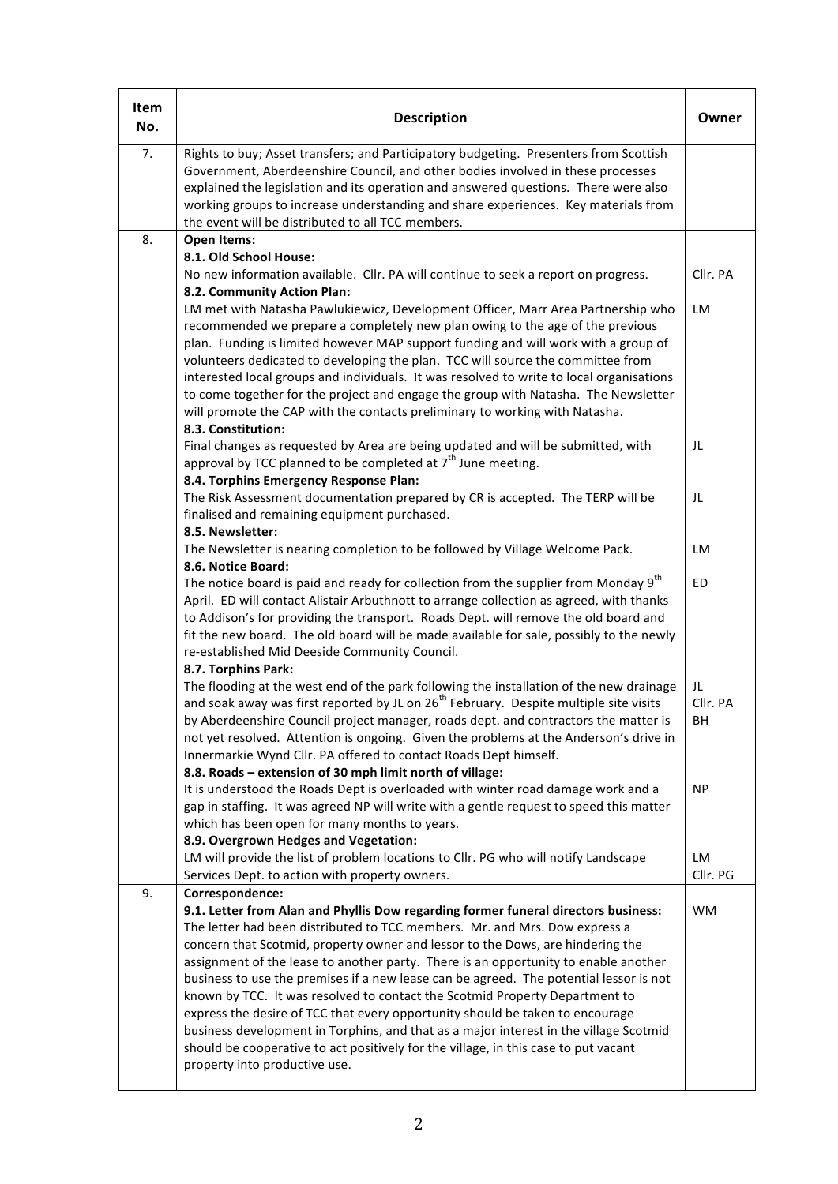| Item<br>No. | <b>Description</b>                                                                                                                                                                                                                                                                                                                                                                                                                                                                                                                                                                                                                                                                                                                                                                                                                      | Owner                |
|-------------|-----------------------------------------------------------------------------------------------------------------------------------------------------------------------------------------------------------------------------------------------------------------------------------------------------------------------------------------------------------------------------------------------------------------------------------------------------------------------------------------------------------------------------------------------------------------------------------------------------------------------------------------------------------------------------------------------------------------------------------------------------------------------------------------------------------------------------------------|----------------------|
| 7.          | Rights to buy; Asset transfers; and Participatory budgeting. Presenters from Scottish<br>Government, Aberdeenshire Council, and other bodies involved in these processes<br>explained the legislation and its operation and answered questions. There were also<br>working groups to increase understanding and share experiences. Key materials from<br>the event will be distributed to all TCC members.                                                                                                                                                                                                                                                                                                                                                                                                                              |                      |
| 8.          | Open Items:                                                                                                                                                                                                                                                                                                                                                                                                                                                                                                                                                                                                                                                                                                                                                                                                                             |                      |
|             | 8.1. Old School House:<br>No new information available. Cllr. PA will continue to seek a report on progress.<br>8.2. Community Action Plan:                                                                                                                                                                                                                                                                                                                                                                                                                                                                                                                                                                                                                                                                                             | Cllr. PA             |
|             | LM met with Natasha Pawlukiewicz, Development Officer, Marr Area Partnership who<br>recommended we prepare a completely new plan owing to the age of the previous<br>plan. Funding is limited however MAP support funding and will work with a group of<br>volunteers dedicated to developing the plan. TCC will source the committee from<br>interested local groups and individuals. It was resolved to write to local organisations<br>to come together for the project and engage the group with Natasha. The Newsletter<br>will promote the CAP with the contacts preliminary to working with Natasha.<br>8.3. Constitution:                                                                                                                                                                                                       | LM                   |
|             | Final changes as requested by Area are being updated and will be submitted, with<br>approval by TCC planned to be completed at 7 <sup>th</sup> June meeting.<br>8.4. Torphins Emergency Response Plan:                                                                                                                                                                                                                                                                                                                                                                                                                                                                                                                                                                                                                                  | JL                   |
|             | The Risk Assessment documentation prepared by CR is accepted. The TERP will be<br>finalised and remaining equipment purchased.<br>8.5. Newsletter:                                                                                                                                                                                                                                                                                                                                                                                                                                                                                                                                                                                                                                                                                      | JL                   |
|             | The Newsletter is nearing completion to be followed by Village Welcome Pack.<br>8.6. Notice Board:                                                                                                                                                                                                                                                                                                                                                                                                                                                                                                                                                                                                                                                                                                                                      | LM                   |
|             | The notice board is paid and ready for collection from the supplier from Monday 9 <sup>th</sup><br>April. ED will contact Alistair Arbuthnott to arrange collection as agreed, with thanks<br>to Addison's for providing the transport. Roads Dept. will remove the old board and<br>fit the new board. The old board will be made available for sale, possibly to the newly<br>re-established Mid Deeside Community Council.                                                                                                                                                                                                                                                                                                                                                                                                           | <b>ED</b>            |
|             | 8.7. Torphins Park:<br>The flooding at the west end of the park following the installation of the new drainage<br>and soak away was first reported by JL on 26 <sup>th</sup> February. Despite multiple site visits<br>by Aberdeenshire Council project manager, roads dept. and contractors the matter is<br>not yet resolved. Attention is ongoing. Given the problems at the Anderson's drive in<br>Innermarkie Wynd Cllr. PA offered to contact Roads Dept himself.<br>8.8. Roads - extension of 30 mph limit north of village:                                                                                                                                                                                                                                                                                                     | JL<br>Cllr. PA<br>BH |
|             | It is understood the Roads Dept is overloaded with winter road damage work and a<br>gap in staffing. It was agreed NP will write with a gentle request to speed this matter<br>which has been open for many months to years.<br>8.9. Overgrown Hedges and Vegetation:                                                                                                                                                                                                                                                                                                                                                                                                                                                                                                                                                                   | <b>NP</b>            |
|             | LM will provide the list of problem locations to Cllr. PG who will notify Landscape<br>Services Dept. to action with property owners.                                                                                                                                                                                                                                                                                                                                                                                                                                                                                                                                                                                                                                                                                                   | LM<br>Cllr. PG       |
| 9.          | Correspondence:<br>9.1. Letter from Alan and Phyllis Dow regarding former funeral directors business:<br>The letter had been distributed to TCC members. Mr. and Mrs. Dow express a<br>concern that Scotmid, property owner and lessor to the Dows, are hindering the<br>assignment of the lease to another party. There is an opportunity to enable another<br>business to use the premises if a new lease can be agreed. The potential lessor is not<br>known by TCC. It was resolved to contact the Scotmid Property Department to<br>express the desire of TCC that every opportunity should be taken to encourage<br>business development in Torphins, and that as a major interest in the village Scotmid<br>should be cooperative to act positively for the village, in this case to put vacant<br>property into productive use. | <b>WM</b>            |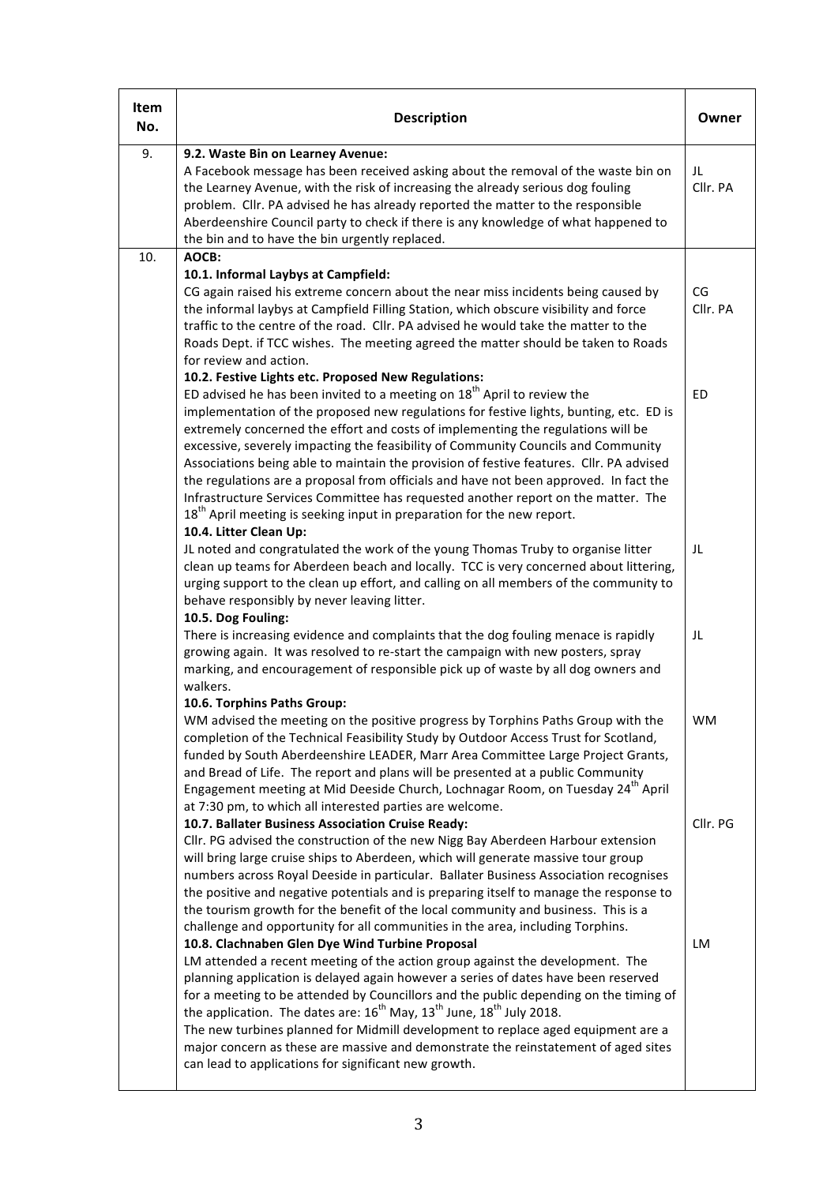| Item<br>No. | <b>Description</b>                                                                                                                                                                                                                                                                                                                                                                                                                                                                                                                                                                                                                                                                                                                                                                 | Owner          |
|-------------|------------------------------------------------------------------------------------------------------------------------------------------------------------------------------------------------------------------------------------------------------------------------------------------------------------------------------------------------------------------------------------------------------------------------------------------------------------------------------------------------------------------------------------------------------------------------------------------------------------------------------------------------------------------------------------------------------------------------------------------------------------------------------------|----------------|
| 9.          | 9.2. Waste Bin on Learney Avenue:<br>A Facebook message has been received asking about the removal of the waste bin on<br>the Learney Avenue, with the risk of increasing the already serious dog fouling<br>problem. Cllr. PA advised he has already reported the matter to the responsible<br>Aberdeenshire Council party to check if there is any knowledge of what happened to<br>the bin and to have the bin urgently replaced.                                                                                                                                                                                                                                                                                                                                               | JL<br>Cllr. PA |
| 10.         | AOCB:                                                                                                                                                                                                                                                                                                                                                                                                                                                                                                                                                                                                                                                                                                                                                                              |                |
|             | 10.1. Informal Laybys at Campfield:<br>CG again raised his extreme concern about the near miss incidents being caused by<br>the informal laybys at Campfield Filling Station, which obscure visibility and force<br>traffic to the centre of the road. Cllr. PA advised he would take the matter to the<br>Roads Dept. if TCC wishes. The meeting agreed the matter should be taken to Roads<br>for review and action.                                                                                                                                                                                                                                                                                                                                                             | CG<br>Cllr. PA |
|             | 10.2. Festive Lights etc. Proposed New Regulations:<br>ED advised he has been invited to a meeting on $18th$ April to review the<br>implementation of the proposed new regulations for festive lights, bunting, etc. ED is<br>extremely concerned the effort and costs of implementing the regulations will be<br>excessive, severely impacting the feasibility of Community Councils and Community<br>Associations being able to maintain the provision of festive features. Cllr. PA advised<br>the regulations are a proposal from officials and have not been approved. In fact the<br>Infrastructure Services Committee has requested another report on the matter. The<br>$18th$ April meeting is seeking input in preparation for the new report.<br>10.4. Litter Clean Up: | <b>ED</b>      |
|             | JL noted and congratulated the work of the young Thomas Truby to organise litter<br>clean up teams for Aberdeen beach and locally. TCC is very concerned about littering,<br>urging support to the clean up effort, and calling on all members of the community to<br>behave responsibly by never leaving litter.<br>10.5. Dog Fouling:                                                                                                                                                                                                                                                                                                                                                                                                                                            | JL             |
|             | There is increasing evidence and complaints that the dog fouling menace is rapidly<br>growing again. It was resolved to re-start the campaign with new posters, spray<br>marking, and encouragement of responsible pick up of waste by all dog owners and<br>walkers.<br>10.6. Torphins Paths Group:                                                                                                                                                                                                                                                                                                                                                                                                                                                                               | JL             |
|             | WM advised the meeting on the positive progress by Torphins Paths Group with the<br>completion of the Technical Feasibility Study by Outdoor Access Trust for Scotland,<br>funded by South Aberdeenshire LEADER, Marr Area Committee Large Project Grants,<br>and Bread of Life. The report and plans will be presented at a public Community<br>Engagement meeting at Mid Deeside Church, Lochnagar Room, on Tuesday 24 <sup>th</sup> April<br>at 7:30 pm, to which all interested parties are welcome.                                                                                                                                                                                                                                                                           | <b>WM</b>      |
|             | 10.7. Ballater Business Association Cruise Ready:<br>Cllr. PG advised the construction of the new Nigg Bay Aberdeen Harbour extension<br>will bring large cruise ships to Aberdeen, which will generate massive tour group<br>numbers across Royal Deeside in particular. Ballater Business Association recognises<br>the positive and negative potentials and is preparing itself to manage the response to<br>the tourism growth for the benefit of the local community and business. This is a<br>challenge and opportunity for all communities in the area, including Torphins.                                                                                                                                                                                                | Cllr. PG       |
|             | 10.8. Clachnaben Glen Dye Wind Turbine Proposal<br>LM attended a recent meeting of the action group against the development. The<br>planning application is delayed again however a series of dates have been reserved<br>for a meeting to be attended by Councillors and the public depending on the timing of<br>the application. The dates are: 16 <sup>th</sup> May, 13 <sup>th</sup> June, 18 <sup>th</sup> July 2018.<br>The new turbines planned for Midmill development to replace aged equipment are a<br>major concern as these are massive and demonstrate the reinstatement of aged sites<br>can lead to applications for significant new growth.                                                                                                                      | LM             |